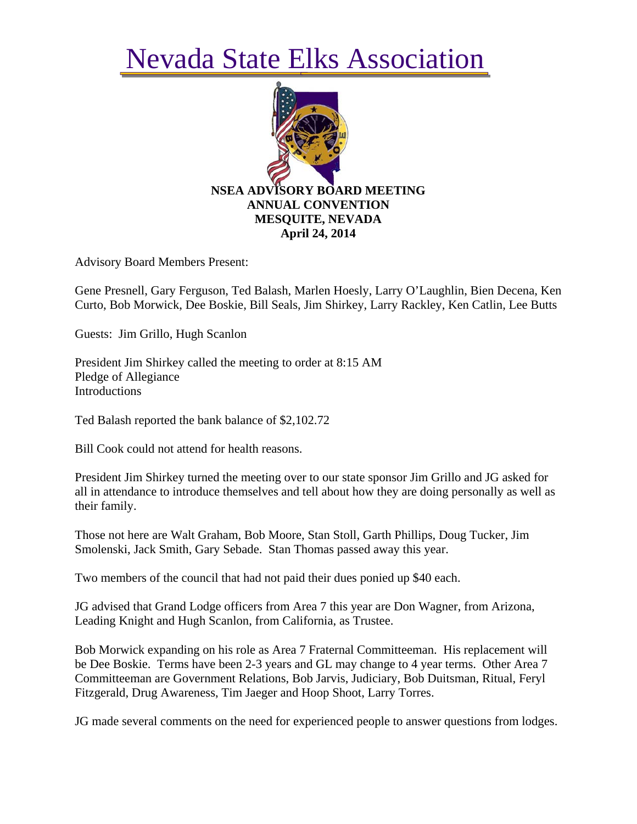## Nevada State Elks Association



Advisory Board Members Present:

Gene Presnell, Gary Ferguson, Ted Balash, Marlen Hoesly, Larry O'Laughlin, Bien Decena, Ken Curto, Bob Morwick, Dee Boskie, Bill Seals, Jim Shirkey, Larry Rackley, Ken Catlin, Lee Butts

Guests: Jim Grillo, Hugh Scanlon

President Jim Shirkey called the meeting to order at 8:15 AM Pledge of Allegiance **Introductions** 

Ted Balash reported the bank balance of \$2,102.72

Bill Cook could not attend for health reasons.

President Jim Shirkey turned the meeting over to our state sponsor Jim Grillo and JG asked for all in attendance to introduce themselves and tell about how they are doing personally as well as their family.

Those not here are Walt Graham, Bob Moore, Stan Stoll, Garth Phillips, Doug Tucker, Jim Smolenski, Jack Smith, Gary Sebade. Stan Thomas passed away this year.

Two members of the council that had not paid their dues ponied up \$40 each.

JG advised that Grand Lodge officers from Area 7 this year are Don Wagner, from Arizona, Leading Knight and Hugh Scanlon, from California, as Trustee.

Bob Morwick expanding on his role as Area 7 Fraternal Committeeman. His replacement will be Dee Boskie. Terms have been 2-3 years and GL may change to 4 year terms. Other Area 7 Committeeman are Government Relations, Bob Jarvis, Judiciary, Bob Duitsman, Ritual, Feryl Fitzgerald, Drug Awareness, Tim Jaeger and Hoop Shoot, Larry Torres.

JG made several comments on the need for experienced people to answer questions from lodges.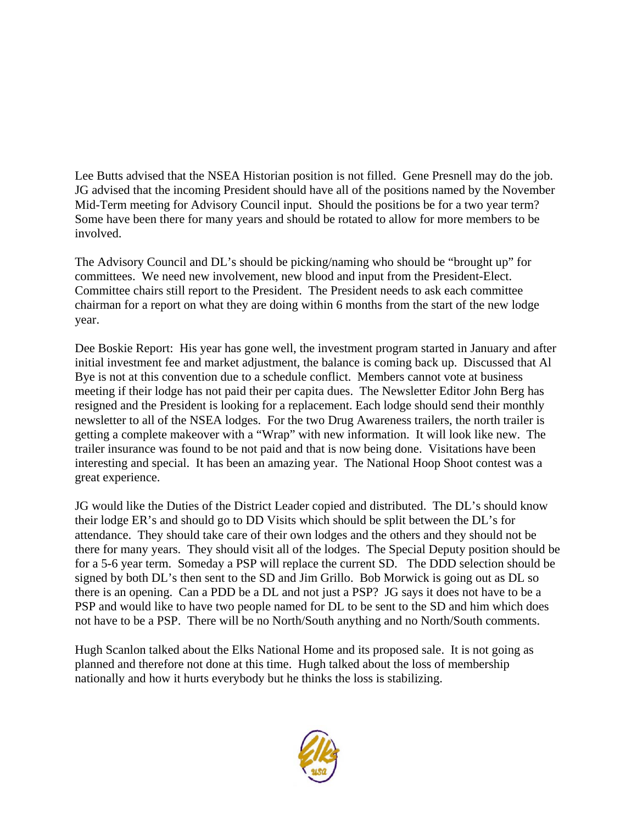Lee Butts advised that the NSEA Historian position is not filled. Gene Presnell may do the job. JG advised that the incoming President should have all of the positions named by the November Mid-Term meeting for Advisory Council input. Should the positions be for a two year term? Some have been there for many years and should be rotated to allow for more members to be involved.

The Advisory Council and DL's should be picking/naming who should be "brought up" for committees. We need new involvement, new blood and input from the President-Elect. Committee chairs still report to the President. The President needs to ask each committee chairman for a report on what they are doing within 6 months from the start of the new lodge year.

Dee Boskie Report: His year has gone well, the investment program started in January and after initial investment fee and market adjustment, the balance is coming back up. Discussed that Al Bye is not at this convention due to a schedule conflict. Members cannot vote at business meeting if their lodge has not paid their per capita dues. The Newsletter Editor John Berg has resigned and the President is looking for a replacement. Each lodge should send their monthly newsletter to all of the NSEA lodges. For the two Drug Awareness trailers, the north trailer is getting a complete makeover with a "Wrap" with new information. It will look like new. The trailer insurance was found to be not paid and that is now being done. Visitations have been interesting and special. It has been an amazing year. The National Hoop Shoot contest was a great experience.

JG would like the Duties of the District Leader copied and distributed. The DL's should know their lodge ER's and should go to DD Visits which should be split between the DL's for attendance. They should take care of their own lodges and the others and they should not be there for many years. They should visit all of the lodges. The Special Deputy position should be for a 5-6 year term. Someday a PSP will replace the current SD. The DDD selection should be signed by both DL's then sent to the SD and Jim Grillo. Bob Morwick is going out as DL so there is an opening. Can a PDD be a DL and not just a PSP? JG says it does not have to be a PSP and would like to have two people named for DL to be sent to the SD and him which does not have to be a PSP. There will be no North/South anything and no North/South comments.

Hugh Scanlon talked about the Elks National Home and its proposed sale. It is not going as planned and therefore not done at this time. Hugh talked about the loss of membership nationally and how it hurts everybody but he thinks the loss is stabilizing.